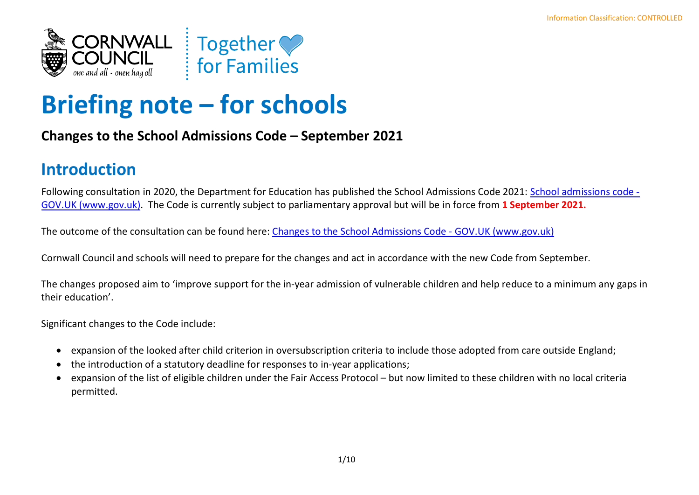

# **Briefing note – for schools**

#### **Changes to the School Admissions Code – September 2021**

## **Introduction**

Following consultation in 2020, the Department for Education has published the School Admissions Code 2021: [School admissions code -](https://www.gov.uk/government/publications/school-admissions-code--2) [GOV.UK \(www.gov.uk\).](https://www.gov.uk/government/publications/school-admissions-code--2) The Code is currently subject to parliamentary approval but will be in force from **1 September 2021.**

The outcome of the consultation can be found here: [Changes to the School Admissions Code -](https://www.gov.uk/government/consultations/changes-to-the-school-admissions-code--4) GOV.UK (www.gov.uk)

Cornwall Council and schools will need to prepare for the changes and act in accordance with the new Code from September.

The changes proposed aim to 'improve support for the in-year admission of vulnerable children and help reduce to a minimum any gaps in their education'.

Significant changes to the Code include:

- expansion of the looked after child criterion in oversubscription criteria to include those adopted from care outside England;
- the introduction of a statutory deadline for responses to in-year applications;
- expansion of the list of eligible children under the Fair Access Protocol but now limited to these children with no local criteria permitted.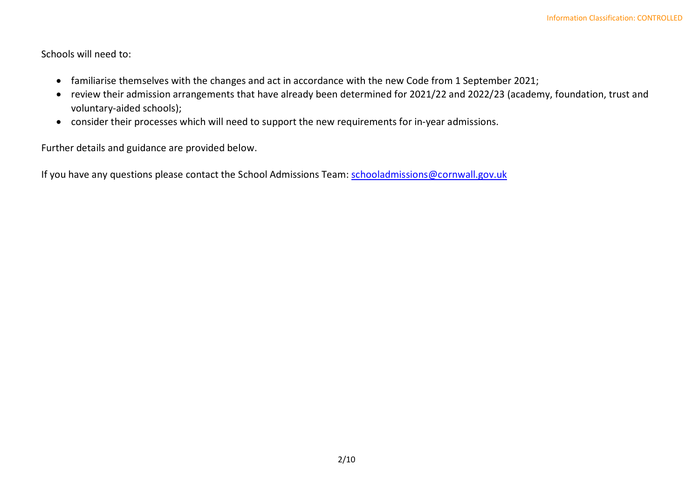Schools will need to:

- familiarise themselves with the changes and act in accordance with the new Code from 1 September 2021;
- review their admission arrangements that have already been determined for 2021/22 and 2022/23 (academy, foundation, trust and voluntary-aided schools);
- consider their processes which will need to support the new requirements for in-year admissions.

Further details and guidance are provided below.

If you have any questions please contact the School Admissions Team: [schooladmissions@cornwall.gov.uk](mailto:schooladmissions@cornwall.gov.uk)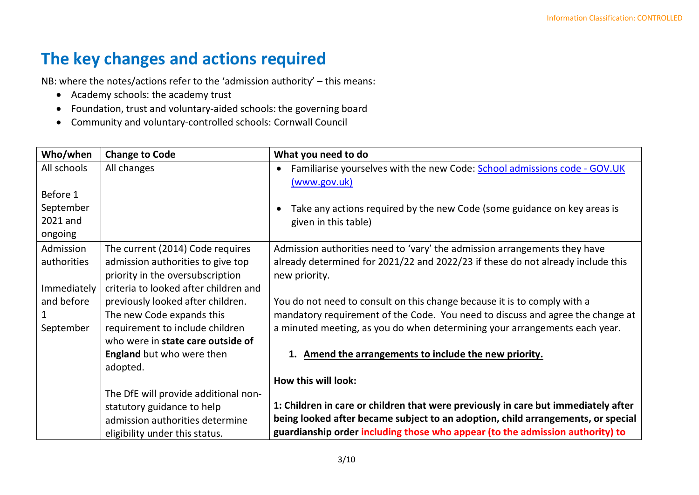### **The key changes and actions required**

NB: where the notes/actions refer to the 'admission authority' – this means:

- Academy schools: the academy trust
- Foundation, trust and voluntary-aided schools: the governing board
- Community and voluntary-controlled schools: Cornwall Council

| Who/when    | <b>Change to Code</b>                 | What you need to do                                                                                    |
|-------------|---------------------------------------|--------------------------------------------------------------------------------------------------------|
| All schools | All changes                           | Familiarise yourselves with the new Code: School admissions code - GOV.UK<br>$\bullet$<br>(www.gov.uk) |
| Before 1    |                                       |                                                                                                        |
| September   |                                       | Take any actions required by the new Code (some guidance on key areas is                               |
| 2021 and    |                                       | given in this table)                                                                                   |
| ongoing     |                                       |                                                                                                        |
| Admission   | The current (2014) Code requires      | Admission authorities need to 'vary' the admission arrangements they have                              |
| authorities | admission authorities to give top     | already determined for 2021/22 and 2022/23 if these do not already include this                        |
|             | priority in the oversubscription      | new priority.                                                                                          |
| Immediately | criteria to looked after children and |                                                                                                        |
| and before  | previously looked after children.     | You do not need to consult on this change because it is to comply with a                               |
|             | The new Code expands this             | mandatory requirement of the Code. You need to discuss and agree the change at                         |
| September   | requirement to include children       | a minuted meeting, as you do when determining your arrangements each year.                             |
|             | who were in state care outside of     |                                                                                                        |
|             | <b>England</b> but who were then      | 1. Amend the arrangements to include the new priority.                                                 |
|             | adopted.                              |                                                                                                        |
|             |                                       | How this will look:                                                                                    |
|             | The DfE will provide additional non-  |                                                                                                        |
|             | statutory guidance to help            | 1: Children in care or children that were previously in care but immediately after                     |
|             | admission authorities determine       | being looked after became subject to an adoption, child arrangements, or special                       |
|             | eligibility under this status.        | guardianship order including those who appear (to the admission authority) to                          |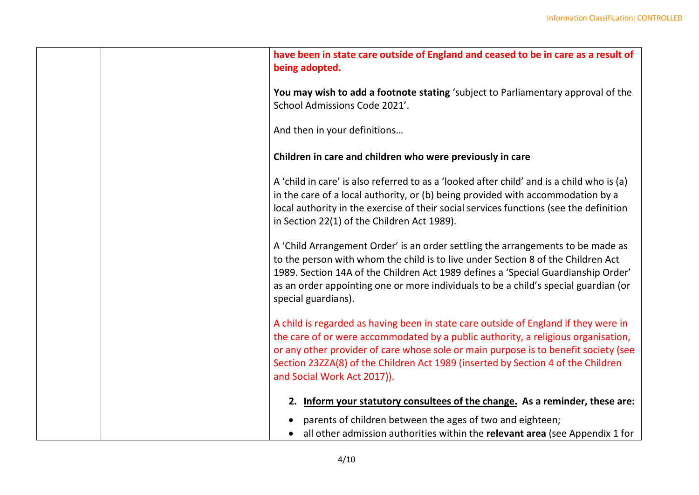| have been in state care outside of England and ceased to be in care as a result of<br>being adopted.                                                                                                                                                                                                                                                                               |
|------------------------------------------------------------------------------------------------------------------------------------------------------------------------------------------------------------------------------------------------------------------------------------------------------------------------------------------------------------------------------------|
| You may wish to add a footnote stating 'subject to Parliamentary approval of the<br>School Admissions Code 2021'.                                                                                                                                                                                                                                                                  |
| And then in your definitions                                                                                                                                                                                                                                                                                                                                                       |
| Children in care and children who were previously in care                                                                                                                                                                                                                                                                                                                          |
| A 'child in care' is also referred to as a 'looked after child' and is a child who is (a)<br>in the care of a local authority, or (b) being provided with accommodation by a<br>local authority in the exercise of their social services functions (see the definition<br>in Section 22(1) of the Children Act 1989).                                                              |
| A 'Child Arrangement Order' is an order settling the arrangements to be made as<br>to the person with whom the child is to live under Section 8 of the Children Act<br>1989. Section 14A of the Children Act 1989 defines a 'Special Guardianship Order'<br>as an order appointing one or more individuals to be a child's special guardian (or<br>special guardians).             |
| A child is regarded as having been in state care outside of England if they were in<br>the care of or were accommodated by a public authority, a religious organisation,<br>or any other provider of care whose sole or main purpose is to benefit society (see<br>Section 23ZZA(8) of the Children Act 1989 (inserted by Section 4 of the Children<br>and Social Work Act 2017)). |
| 2. Inform your statutory consultees of the change. As a reminder, these are:                                                                                                                                                                                                                                                                                                       |
| parents of children between the ages of two and eighteen;<br>all other admission authorities within the relevant area (see Appendix 1 for                                                                                                                                                                                                                                          |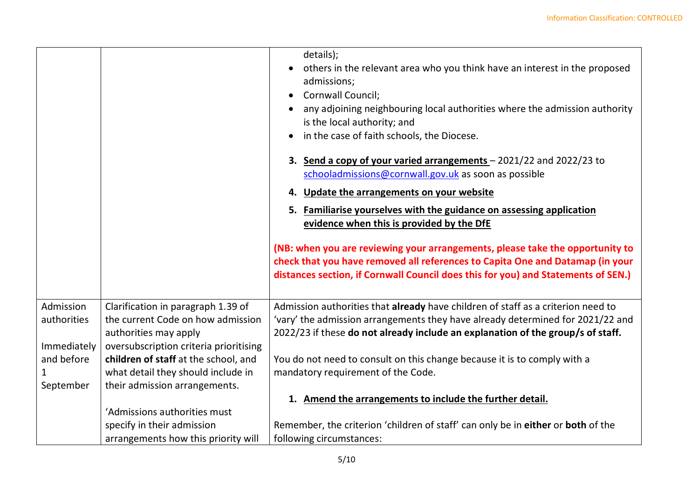|             |                                        | details);<br>others in the relevant area who you think have an interest in the proposed<br>admissions;<br>Cornwall Council;<br>any adjoining neighbouring local authorities where the admission authority<br>is the local authority; and<br>in the case of faith schools, the Diocese.<br>3. Send a copy of your varied arrangements - 2021/22 and 2022/23 to<br>schooladmissions@cornwall.gov.uk as soon as possible<br>4. Update the arrangements on your website<br>5. Familiarise yourselves with the guidance on assessing application<br>evidence when this is provided by the DfE<br>(NB: when you are reviewing your arrangements, please take the opportunity to<br>check that you have removed all references to Capita One and Datamap (in your<br>distances section, if Cornwall Council does this for you) and Statements of SEN.) |
|-------------|----------------------------------------|-------------------------------------------------------------------------------------------------------------------------------------------------------------------------------------------------------------------------------------------------------------------------------------------------------------------------------------------------------------------------------------------------------------------------------------------------------------------------------------------------------------------------------------------------------------------------------------------------------------------------------------------------------------------------------------------------------------------------------------------------------------------------------------------------------------------------------------------------|
| Admission   | Clarification in paragraph 1.39 of     | Admission authorities that already have children of staff as a criterion need to                                                                                                                                                                                                                                                                                                                                                                                                                                                                                                                                                                                                                                                                                                                                                                |
| authorities | the current Code on how admission      | 'vary' the admission arrangements they have already determined for 2021/22 and                                                                                                                                                                                                                                                                                                                                                                                                                                                                                                                                                                                                                                                                                                                                                                  |
|             | authorities may apply                  | 2022/23 if these do not already include an explanation of the group/s of staff.                                                                                                                                                                                                                                                                                                                                                                                                                                                                                                                                                                                                                                                                                                                                                                 |
| Immediately | oversubscription criteria prioritising |                                                                                                                                                                                                                                                                                                                                                                                                                                                                                                                                                                                                                                                                                                                                                                                                                                                 |
| and before  | children of staff at the school, and   | You do not need to consult on this change because it is to comply with a                                                                                                                                                                                                                                                                                                                                                                                                                                                                                                                                                                                                                                                                                                                                                                        |
|             | what detail they should include in     | mandatory requirement of the Code.                                                                                                                                                                                                                                                                                                                                                                                                                                                                                                                                                                                                                                                                                                                                                                                                              |
| September   | their admission arrangements.          |                                                                                                                                                                                                                                                                                                                                                                                                                                                                                                                                                                                                                                                                                                                                                                                                                                                 |
|             |                                        | 1. Amend the arrangements to include the further detail.                                                                                                                                                                                                                                                                                                                                                                                                                                                                                                                                                                                                                                                                                                                                                                                        |
|             | 'Admissions authorities must           |                                                                                                                                                                                                                                                                                                                                                                                                                                                                                                                                                                                                                                                                                                                                                                                                                                                 |
|             | specify in their admission             | Remember, the criterion 'children of staff' can only be in either or both of the                                                                                                                                                                                                                                                                                                                                                                                                                                                                                                                                                                                                                                                                                                                                                                |
|             | arrangements how this priority will    | following circumstances:                                                                                                                                                                                                                                                                                                                                                                                                                                                                                                                                                                                                                                                                                                                                                                                                                        |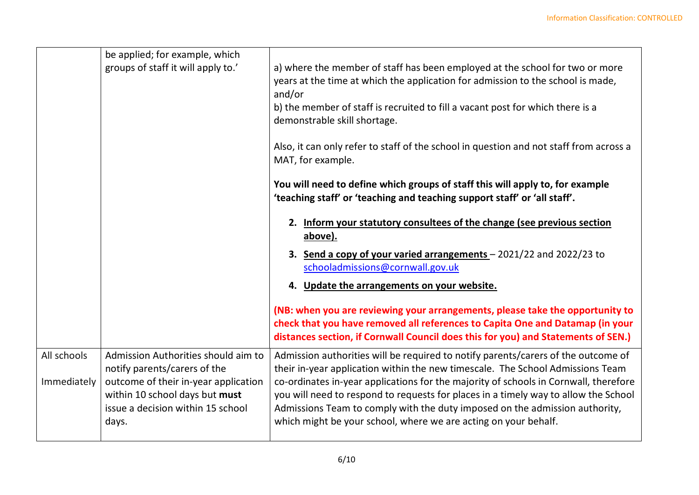|                            | be applied; for example, which<br>groups of staff it will apply to.'                                                                                                                        | a) where the member of staff has been employed at the school for two or more<br>years at the time at which the application for admission to the school is made,<br>and/or<br>b) the member of staff is recruited to fill a vacant post for which there is a<br>demonstrable skill shortage.                                                                                                                                                                                                          |
|----------------------------|---------------------------------------------------------------------------------------------------------------------------------------------------------------------------------------------|------------------------------------------------------------------------------------------------------------------------------------------------------------------------------------------------------------------------------------------------------------------------------------------------------------------------------------------------------------------------------------------------------------------------------------------------------------------------------------------------------|
|                            |                                                                                                                                                                                             | Also, it can only refer to staff of the school in question and not staff from across a<br>MAT, for example.                                                                                                                                                                                                                                                                                                                                                                                          |
|                            |                                                                                                                                                                                             | You will need to define which groups of staff this will apply to, for example<br>'teaching staff' or 'teaching and teaching support staff' or 'all staff'.                                                                                                                                                                                                                                                                                                                                           |
|                            |                                                                                                                                                                                             | 2. Inform your statutory consultees of the change (see previous section<br>above).                                                                                                                                                                                                                                                                                                                                                                                                                   |
|                            |                                                                                                                                                                                             | 3. Send a copy of your varied arrangements - 2021/22 and 2022/23 to<br>schooladmissions@cornwall.gov.uk                                                                                                                                                                                                                                                                                                                                                                                              |
|                            |                                                                                                                                                                                             | 4. Update the arrangements on your website.                                                                                                                                                                                                                                                                                                                                                                                                                                                          |
|                            |                                                                                                                                                                                             | (NB: when you are reviewing your arrangements, please take the opportunity to<br>check that you have removed all references to Capita One and Datamap (in your<br>distances section, if Cornwall Council does this for you) and Statements of SEN.)                                                                                                                                                                                                                                                  |
| All schools<br>Immediately | Admission Authorities should aim to<br>notify parents/carers of the<br>outcome of their in-year application<br>within 10 school days but must<br>issue a decision within 15 school<br>days. | Admission authorities will be required to notify parents/carers of the outcome of<br>their in-year application within the new timescale. The School Admissions Team<br>co-ordinates in-year applications for the majority of schools in Cornwall, therefore<br>you will need to respond to requests for places in a timely way to allow the School<br>Admissions Team to comply with the duty imposed on the admission authority,<br>which might be your school, where we are acting on your behalf. |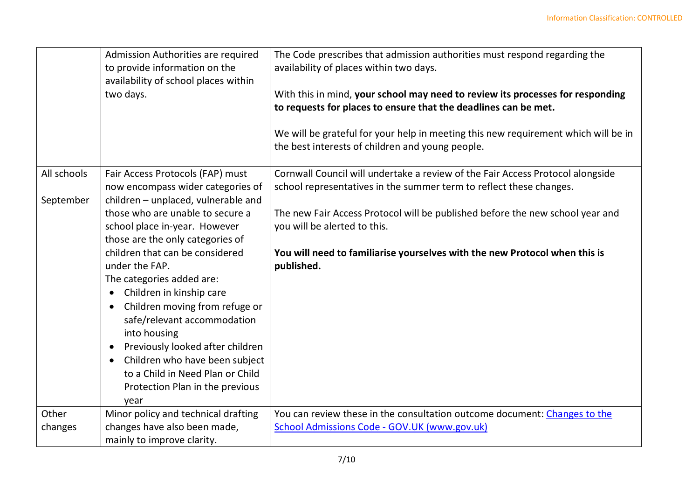|                          | Admission Authorities are required<br>to provide information on the<br>availability of school places within<br>two days. | The Code prescribes that admission authorities must respond regarding the<br>availability of places within two days.<br>With this in mind, your school may need to review its processes for responding<br>to requests for places to ensure that the deadlines can be met.<br>We will be grateful for your help in meeting this new requirement which will be in<br>the best interests of children and young people. |
|--------------------------|--------------------------------------------------------------------------------------------------------------------------|---------------------------------------------------------------------------------------------------------------------------------------------------------------------------------------------------------------------------------------------------------------------------------------------------------------------------------------------------------------------------------------------------------------------|
| All schools<br>September | Fair Access Protocols (FAP) must<br>now encompass wider categories of<br>children - unplaced, vulnerable and             | Cornwall Council will undertake a review of the Fair Access Protocol alongside<br>school representatives in the summer term to reflect these changes.                                                                                                                                                                                                                                                               |
|                          | those who are unable to secure a<br>school place in-year. However<br>those are the only categories of                    | The new Fair Access Protocol will be published before the new school year and<br>you will be alerted to this.                                                                                                                                                                                                                                                                                                       |
|                          | children that can be considered<br>under the FAP.                                                                        | You will need to familiarise yourselves with the new Protocol when this is<br>published.                                                                                                                                                                                                                                                                                                                            |
|                          | The categories added are:<br>Children in kinship care<br>$\bullet$                                                       |                                                                                                                                                                                                                                                                                                                                                                                                                     |
|                          | Children moving from refuge or<br>$\bullet$<br>safe/relevant accommodation<br>into housing                               |                                                                                                                                                                                                                                                                                                                                                                                                                     |
|                          | Previously looked after children<br>$\bullet$                                                                            |                                                                                                                                                                                                                                                                                                                                                                                                                     |
|                          | Children who have been subject<br>$\bullet$<br>to a Child in Need Plan or Child                                          |                                                                                                                                                                                                                                                                                                                                                                                                                     |
|                          | Protection Plan in the previous<br>year                                                                                  |                                                                                                                                                                                                                                                                                                                                                                                                                     |
| Other                    | Minor policy and technical drafting                                                                                      | You can review these in the consultation outcome document: Changes to the                                                                                                                                                                                                                                                                                                                                           |
| changes                  | changes have also been made,                                                                                             | School Admissions Code - GOV.UK (www.gov.uk)                                                                                                                                                                                                                                                                                                                                                                        |
|                          | mainly to improve clarity.                                                                                               |                                                                                                                                                                                                                                                                                                                                                                                                                     |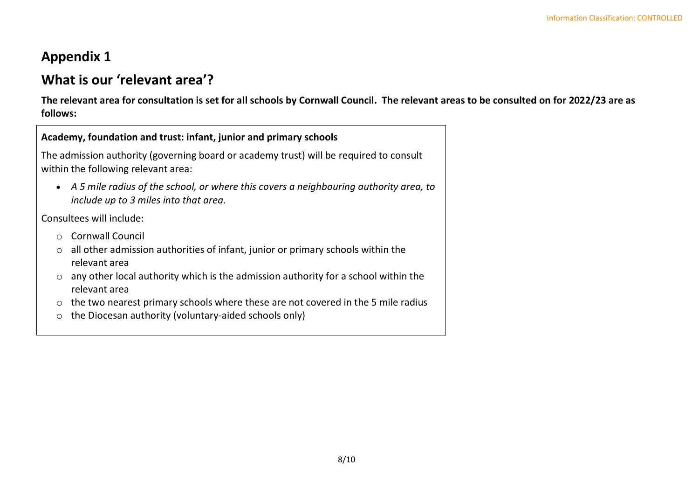### **Appendix 1**

### **What is our 'relevant area'?**

**The relevant area for consultation is set for all schools by Cornwall Council. The relevant areas to be consulted on for 2022/23 are as follows:**

| Academy, foundation and trust: infant, junior and primary schools                                                                                                                                                                                                                                                                                                                                                                        |  |  |  |
|------------------------------------------------------------------------------------------------------------------------------------------------------------------------------------------------------------------------------------------------------------------------------------------------------------------------------------------------------------------------------------------------------------------------------------------|--|--|--|
| The admission authority (governing board or academy trust) will be required to consult<br>within the following relevant area:                                                                                                                                                                                                                                                                                                            |  |  |  |
| A 5 mile radius of the school, or where this covers a neighbouring authority area, to<br>include up to 3 miles into that area.                                                                                                                                                                                                                                                                                                           |  |  |  |
| Consultees will include:                                                                                                                                                                                                                                                                                                                                                                                                                 |  |  |  |
| <b>Cornwall Council</b><br>$\bigcap$<br>all other admission authorities of infant, junior or primary schools within the<br>$\circ$<br>relevant area<br>any other local authority which is the admission authority for a school within the<br>$\circ$<br>relevant area<br>the two nearest primary schools where these are not covered in the 5 mile radius<br>$\circ$<br>the Diocesan authority (voluntary-aided schools only)<br>$\circ$ |  |  |  |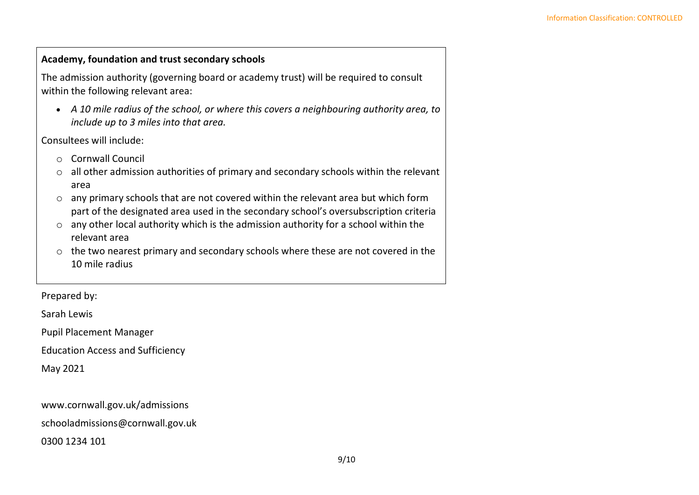#### **Academy, foundation and trust secondary schools**

The admission authority (governing board or academy trust) will be required to consult within the following relevant area:

• *A 10 mile radius of the school, or where this covers a neighbouring authority area, to include up to 3 miles into that area.*

Consultees will include:

- o Cornwall Council
- $\circ$  all other admission authorities of primary and secondary schools within the relevant area
- o any primary schools that are not covered within the relevant area but which form part of the designated area used in the secondary school's oversubscription criteria
- $\circ$  any other local authority which is the admission authority for a school within the relevant area
- o the two nearest primary and secondary schools where these are not covered in the 10 mile radius

Prepared by:

Sarah Lewis

Pupil Placement Manager

Education Access and Sufficiency

May 2021

www.cornwall.gov.uk/admissions

schooladmissions@cornwall.gov.uk

0300 1234 101